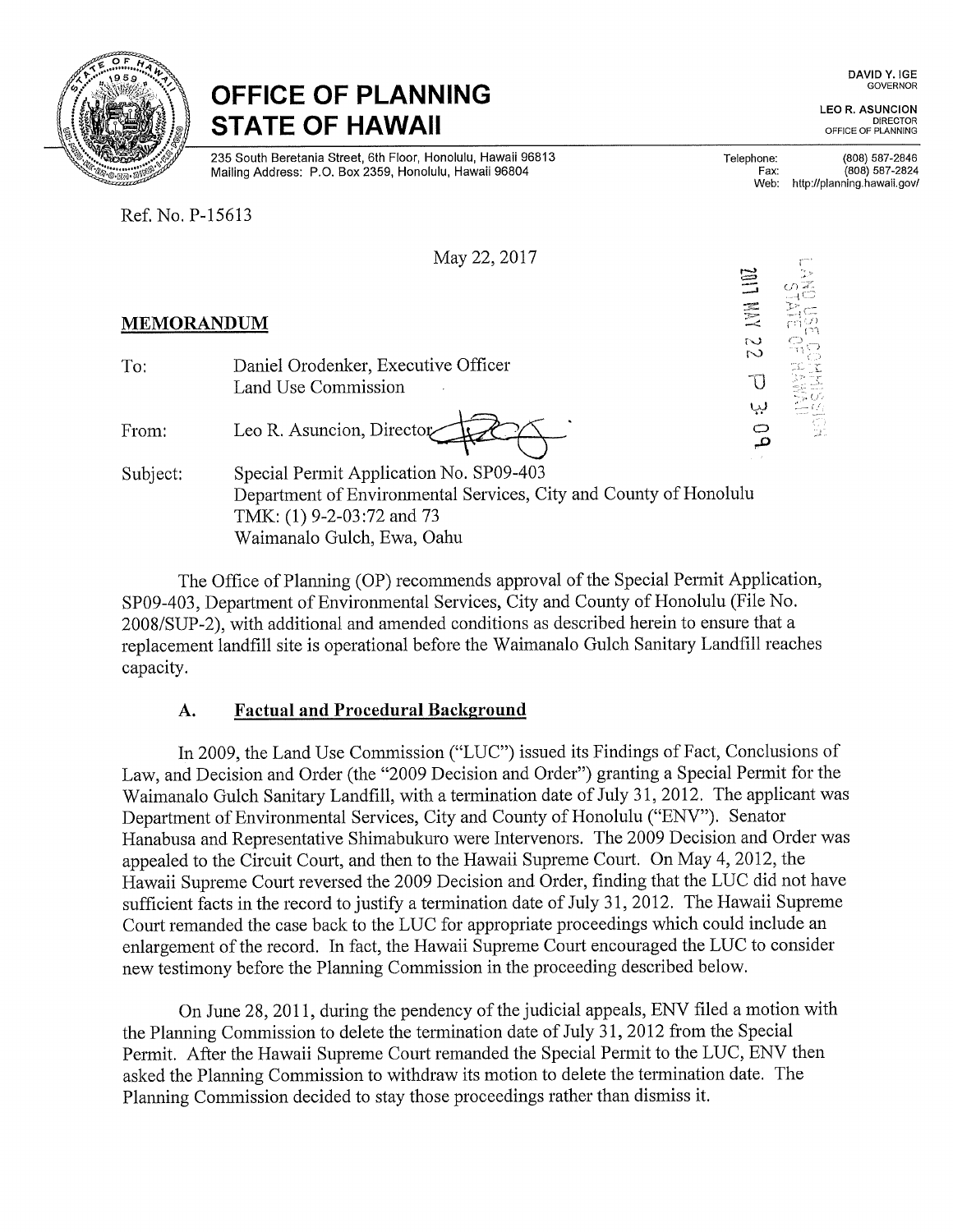

# OFFICE OF PLANNING STATE OF HAWAII

235 South Beretania Street, 6th Floor, Honolulu, Hawaii 96813 Mailing Address: P.O. Box 2359, Honolulu, Hawaii 96804

Ref. No. P-15613

| May 22, 2017 |  |  |  |  |
|--------------|--|--|--|--|
|--------------|--|--|--|--|

#### DAVID Y. IGE GOVERNOR

LEO R. ASUNCION DIRECTOR<br>OFFICE OF PLANNING

Telephone: Fax: Web: (808) 587-2846 (808) 587-2824 http://planning.hawaii.gov/

 $\Gamma$ 

| <b>MEMORANDUM</b> |                                                                                                                                                                         | $\equiv$<br>E | OZ        |
|-------------------|-------------------------------------------------------------------------------------------------------------------------------------------------------------------------|---------------|-----------|
| To:               | Daniel Orodenker, Executive Officer<br>Land Use Commission                                                                                                              | S<br>$\sim$   |           |
| From:             | Leo R. Asuncion, Director                                                                                                                                               | ىبا<br>م      | Œ<br>nic. |
| Subject:          | Special Permit Application No. SP09-403<br>Department of Environmental Services, City and County of Honolulu<br>TMK: (1) 9-2-03:72 and 73<br>Waimanalo Gulch, Ewa, Oahu |               |           |

The Office of Planning (OP) recommends approval of the Special Permit Application, SP09-403, Department of Environmental Services, City and County of Honolulu (File No. 2008/SUP-2), with additional and amended conditions as described herein to ensure that a replacement landfill site is operational before the Waimanalo Gulch Sanitary Landfill reaches capacity.

# A. Factual and Procedural Background

In 2009, the Land Use Commission ("LUC") issued its Findings of Fact, Conclusions of Law, and Decision and Order (the "2009 Decision and Order") granting a Special Permit for the Waimanalo Gulch Sanitary Landfill, with a termination date of July 31, 2012. The applicant was Department of Environmental Services, City and County of Honolulu ("ENV"). Senator Hanabusa and Representative Shimabukuro were Intervenors. The 2009 Decision and Order was appealed to the Circuit Court, and then to the Hawaii Supreme Court. On May 4, 2012, the Hawaii Supreme Court reversed the 2009 Decision and Order, finding that the LUC did not have sufficient facts in the record to justify a termination date of July 31, 2012. The Hawaii Supreme Court remanded the case back to the LUC for appropriate proceedings which could include an enlargement of the record. In fact, the Hawaii Supreme Court encouraged the LUC to consider new testimony before the Planning Commission in the proceeding described below.

On June 28, 2011, during the pendency of the judicial appeals, ENV filed a motion with the Planning Commission to delete the termination date of July 31, 2012 from the Special Permit. After the Hawaii Supreme Court remanded the Special Permit to the LUC, ENV then asked the Planning Commission to withdraw its motion to delete the termination date. The Planning Commission decided to stay those proceedings rather than dismiss it.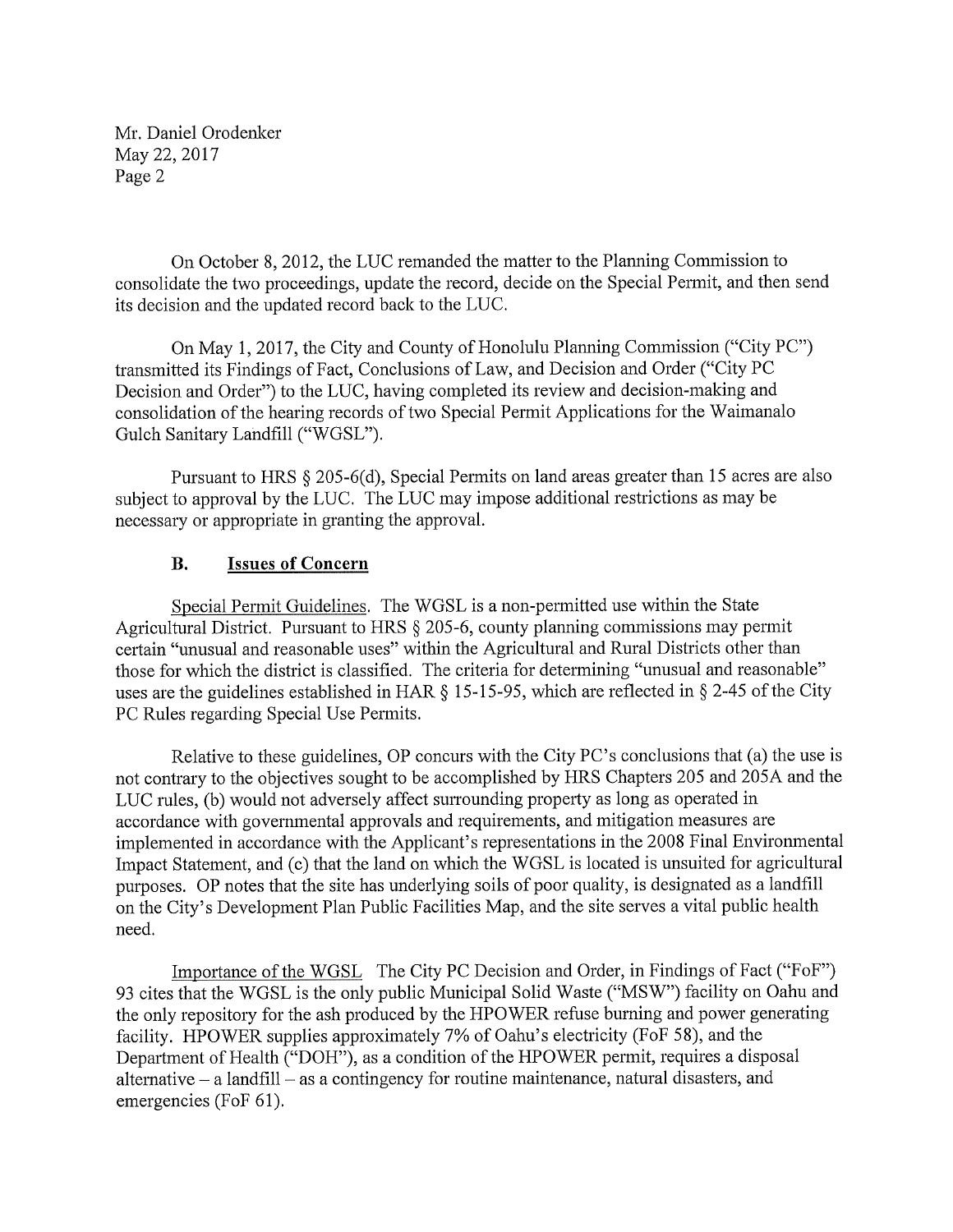On October 8, 2012, the LUC remanded the matter to the Planning Commission to consolidate the two proceedings, update the record, decide on the Special Permit, and then send its decision and the updated record back to the LUC.

On May 1, 2017, the City and County of Honolulu Planning Commission ("City PC") transmitted its Findings of Fact, Conclusions of Law, and Decision and Order ("City PC Decision and Order") to the LUC, having completed its review and decision-making and consolidation of the hearing records of two Special Permit Applications for the Waimanalo Gulch Sanitary Landfill ("WGSL").

Pursuant to HRS § 205-6(d), Special Permits on land areas greater than 15 acres are also subject to approval by the LUC. The LUC may impose additional restrictions as may be necessary or appropriate in granting the approval.

## B. Issues of Concern

Special Permit Guidelines. The WGSL is a non-permitted use within the State Agricultural District. Pursuant to HRS § 205-6, county planning commissions may permit certain "unusual and reasonable uses" within the Agricultural and Rural Districts other than those for which the district is classified. The criteria for determining "unusual and reasonable" uses are the guidelines established in HAR § 15-15-95, which are reflected in § 2-45 of the City PC Rules regarding Special Use Permits.

Relative to these guidelines, OP concurs with the City PC's conclusions that (a) the use is not contrary to the objectives sought to be accomplished by HRS Chapters 205 and 205A and the LUC rules, (b) would not adversely affect surrounding property as long as operated in accordance with governmental approvals and requirements, and mitigation measures are implemented in accordance with the Applicant's representations in the 2008 Final Environmental Impact Statement, and (c) that the land on which the WGSL is located is unsuited for agricultural purposes. OP notes that the site has underlying soils of poor quality, is designated as a landfill on the City's Development Plan Public Facilities Map, and the site serves a vital public health need.

Importance of the WGSL The City PC Decision and Order, in Findings of Fact ("FoF") 93 cites that the WGSL is the only public Municipal Solid Waste ("MSW") facility on Oahu and the only repository for the ash produced by the HPOWER refuse burning and power generating facility. HPOWER supplies approximately 7% of Oahu's electricity (FoF 58), and the Department of Health ("DOH"), as a condition of the HPOWER permit, requires a disposal alternative  $-$  a landfill  $-$  as a contingency for routine maintenance, natural disasters, and emergencies (FoF 61).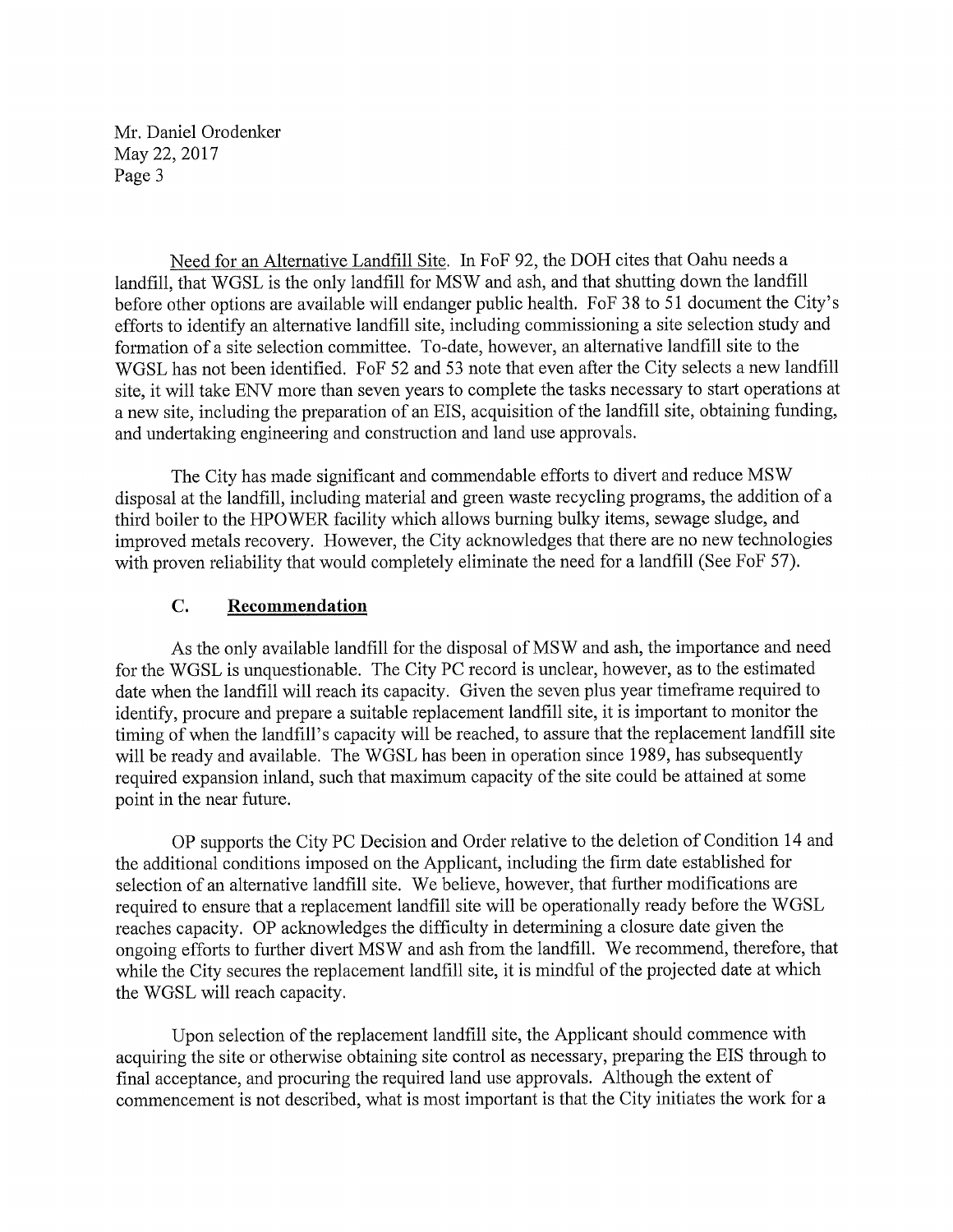Need for an Alternative Landfill Site. In FoF 92, the DOH cites that Oahu needs a landfill, that WGSL is the only landfill for MSW and ash, and that shutting down the landfill before other options are available will endanger public health. FoF 38 to 51 document the City's efforts to identify an alternative landfill site, including commissioning a site selection study and formation of a site selection committee. To-date, however, an alternative landfill site to the WGSL has not been identified. FoF 52 and 53 note that even after the City selects a new landfill site, it will take ENV more than seven years to complete the tasks necessary to start operations at a new site, including the preparation of an EIS, acquisition of the landfill site, obtaining funding, and undertaking engineering and construction and land use approvals.

The City has made significant and commendable efforts to divert and reduce MSW disposal at the landfill, including material and green waste recycling programs, the addition of a third boiler to the HPOWER facility which allows burning bulky items, sewage sludge, and improved metals recovery. However, the City acknowledges that there are no new technologies with proven reliability that would completely eliminate the need for a landfill (See FoF 57).

### C. Recommendation

As the only available landfill for the disposal of MSW and ash, the importance and need for the WGSL is unquestionable. The City PC record is unclear, however, as to the estimated date when the landfill will reach its capacity. Given the seven plus year timeframe required to identify, procure and prepare a suitable replacement landfill site, it is important to monitor the timing of when the landfill's capacity will be reached, to assure that the replacement landfill site will be ready and available. The WGSL has been in operation since 1989, has subsequently required expansion inland, such that maximum capacity of the site could be attained at some point in the near future.

OP supports the City PC Decision and Order relative to the deletion of Condition 14 and the additional conditions imposed on the Applicant, including the firm date established for selection of an alternative landfill site. We believe, however, that further modifications are required to ensure that a replacement landfill site will be operationally ready before the WGSL reaches capacity. OP acknowledges the difficulty in determining a closure date given the ongoing efforts to further divert MSW and ash from the landfill. We recommend, therefore, that while the City secures the replacement landfill site, it is mindful of the projected date at which the WGSL will reach capacity.

Upon selection of the replacement landfill site, the Applicant should commence with acquiring the site or otherwise obtaining site control as necessary, preparing the EIS through to final acceptance, and procuring the required land use approvals. Although the extent of commencement is not described, what is most important is that the City initiates the work for a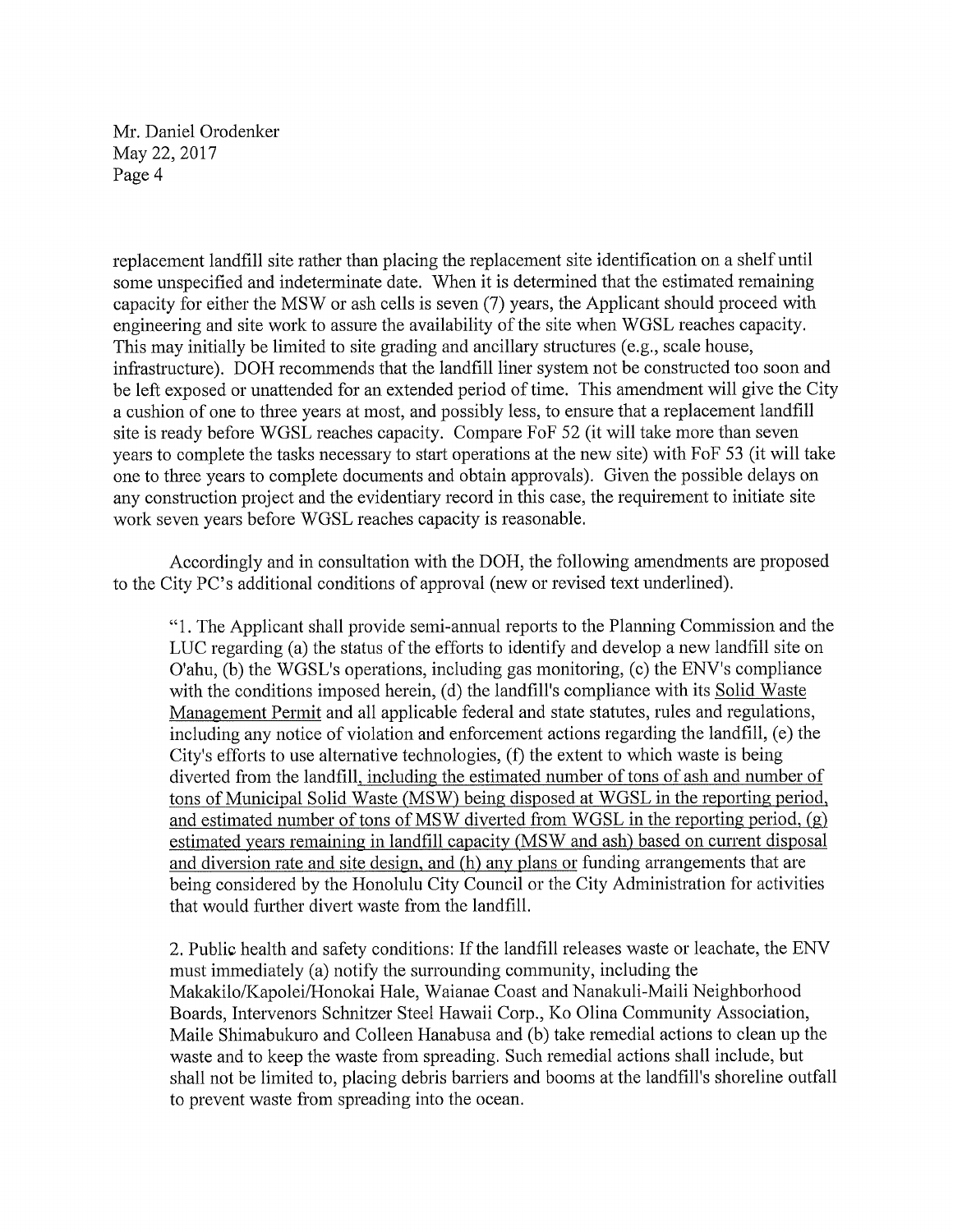replacement landfill site rather than placing the replacement site identification on a shelf until some unspecified and indeterminate date. When it is determined that the estimated remaining capacity for either the MSW or ash cells is seven (7) years, the Applicant should proceed with engineering and site work to assure the availability of the site when WGSL reaches capacity. This may initially be limited to site grading and ancillary structures (e.g., scale house, infrastructure). DOH recommends that the landfill liner system not be constructed too soon and be left exposed or unattended for an extended period of time. This amendment will give the City a cushion of one to three years at most, and possibly less, to ensure that a replacement landfill site is ready before WGSL reaches capacity. Compare FoF 52 (it will take more than seven years to complete the tasks necessary to start operations at the new site) with FoF 53 (it will take one to three years to complete documents and obtain approvals). Given the possible delays on any construction project and the evidentiary record in this case, the requirement to initiate site work seven years before WGSL reaches capacity is reasonable.

Accordingly and in consultation with the DOH, the following amendments are proposed to the City PC's additional conditions of approval (new or revised text underlined).

"1. The Applicant shall provide semi-annual reports to the Planning Commission and the LUC regarding (a) the status of the efforts to identify and develop a new landfill site on O'ahu, (b) the WGSL's operations, including gas monitoring, (c) the ENV's compliance with the conditions imposed herein, (d) the landfill's compliance with its Solid Waste Management Permit and all applicable federal and state statutes, rules and regulations, including any notice of violation and enforcement actions regarding the landfill, (e) the City's efforts to use alternative technologies, (f) the extent to which waste is being diverted from the landfill, including the estimated number of tons of ash and number of tons of Municipal Solid Waste (MSW) being disposed at WGSL in the reporting period, and estimated number of tons of MSW diverted from WGSL in the reporting period, (g) estimated years remaining in landfill capacity (MSW and ash) based on current disposal and diversion rate and site design, and (h) any plans or funding arrangements that are being considered by the Honolulu City Council or the City Administration for activities that would further divert waste from the landfill.

2. Public health and safety conditions: If the landfill releases waste or leachate, the ENV must immediately (a) notify the surrounding community, including the Makakilo/Kapolei/Honokai Hale, Waianae Coast and Nanakuli-Maili Neighborhood Boards, Intervenors Schnitzer Steel Hawaii Corp., Ko Olina Community Association, Maile Shimabukuro and Colleen Hanabusa and (b) take remedial actions to clean up the waste and to keep the waste from spreading. Such remedial actions shall include, but shall not be limited to, placing debris barriers and booms at the landfill's shoreline outfall to prevent waste from spreading into the ocean.